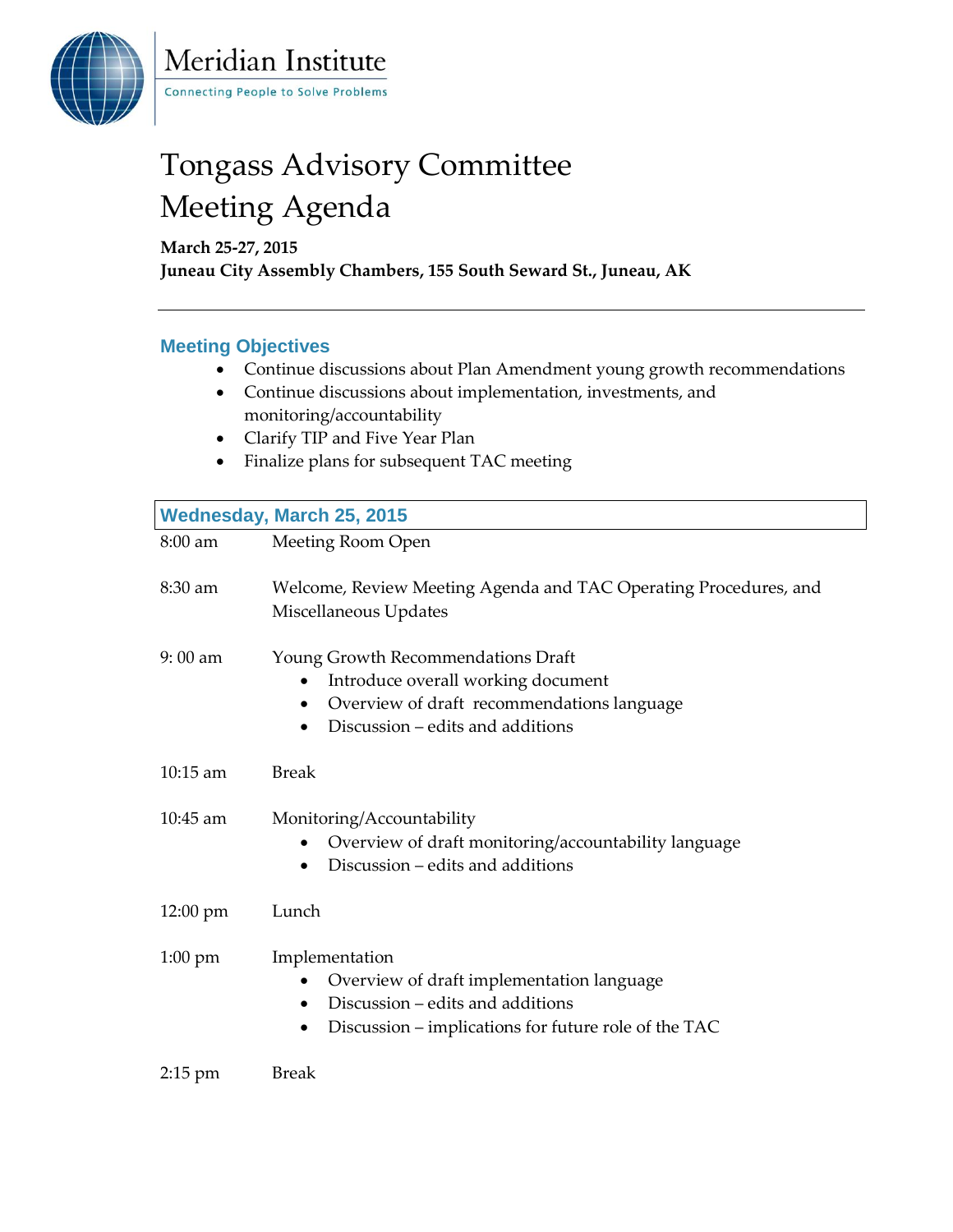

Meridian Institute **Connecting People to Solve Problems** 

## Tongass Advisory Committee Meeting Agenda

**March 25-27, 2015 Juneau City Assembly Chambers, 155 South Seward St., Juneau, AK**

## **Meeting Objectives**

- Continue discussions about Plan Amendment young growth recommendations
- Continue discussions about implementation, investments, and monitoring/accountability
- Clarify TIP and Five Year Plan
- Finalize plans for subsequent TAC meeting

|                   | <b>Wednesday, March 25, 2015</b>                                                                                                                                          |
|-------------------|---------------------------------------------------------------------------------------------------------------------------------------------------------------------------|
| 8:00 am           | Meeting Room Open                                                                                                                                                         |
| 8:30 am           | Welcome, Review Meeting Agenda and TAC Operating Procedures, and<br>Miscellaneous Updates                                                                                 |
| $9:00$ am         | Young Growth Recommendations Draft<br>Introduce overall working document<br>Overview of draft recommendations language<br>$\bullet$<br>Discussion – edits and additions   |
| $10:15$ am        | <b>Break</b>                                                                                                                                                              |
| 10:45 am          | Monitoring/Accountability<br>Overview of draft monitoring/accountability language<br>Discussion – edits and additions<br>٠                                                |
| 12:00 pm          | Lunch                                                                                                                                                                     |
| $1:00 \text{ pm}$ | Implementation<br>Overview of draft implementation language<br>Discussion – edits and additions<br>$\bullet$<br>Discussion – implications for future role of the TAC<br>٠ |
| $2:15$ pm         | <b>Break</b>                                                                                                                                                              |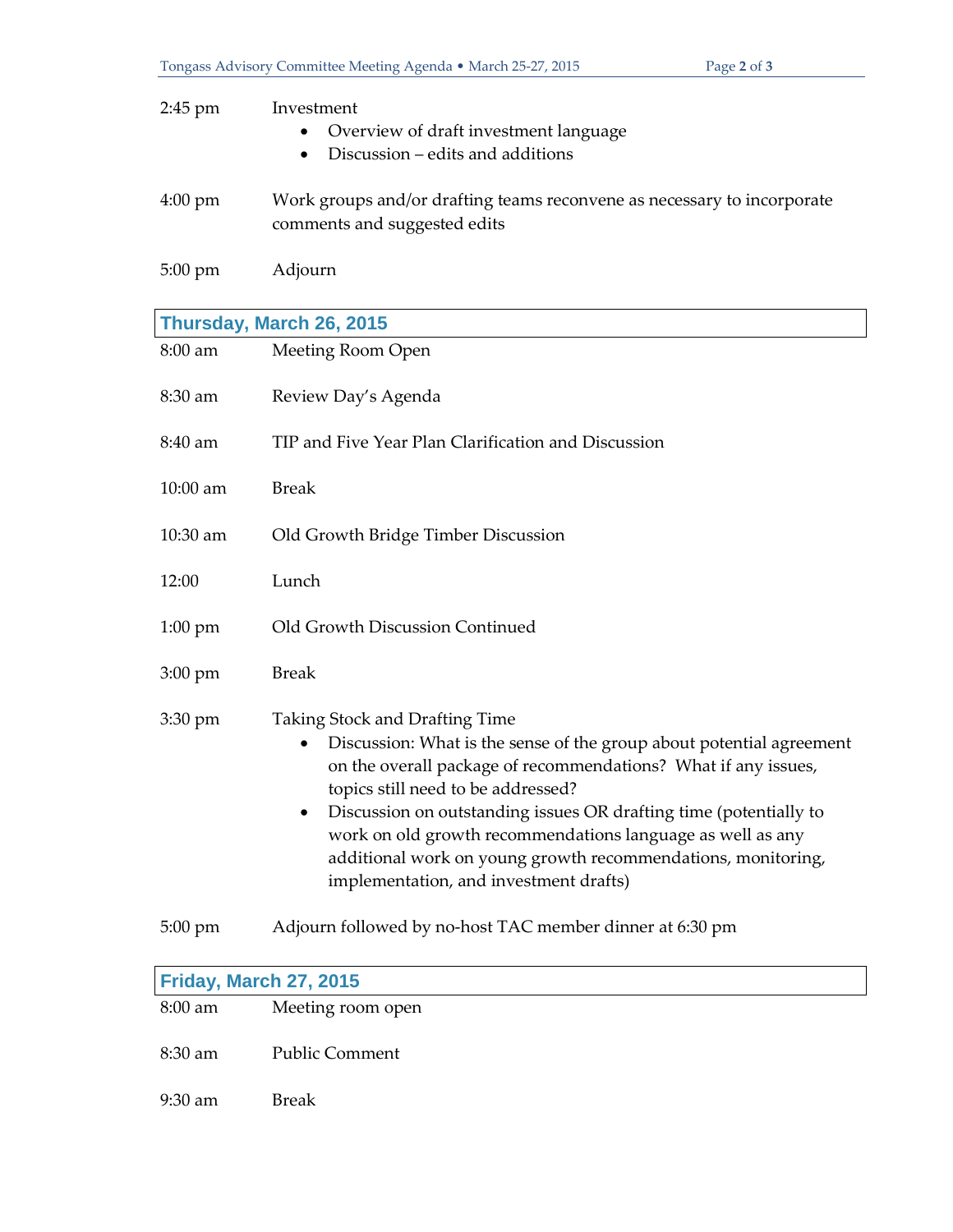| $2:45$ pm                     | Investment<br>Overview of draft investment language<br>Discussion - edits and additions<br>$\bullet$                                                                                                                                                                                                                                                                                                                                                        |  |
|-------------------------------|-------------------------------------------------------------------------------------------------------------------------------------------------------------------------------------------------------------------------------------------------------------------------------------------------------------------------------------------------------------------------------------------------------------------------------------------------------------|--|
| $4:00 \text{ pm}$             | Work groups and/or drafting teams reconvene as necessary to incorporate<br>comments and suggested edits                                                                                                                                                                                                                                                                                                                                                     |  |
| 5:00 pm                       | Adjourn                                                                                                                                                                                                                                                                                                                                                                                                                                                     |  |
| Thursday, March 26, 2015      |                                                                                                                                                                                                                                                                                                                                                                                                                                                             |  |
| 8:00 am                       | Meeting Room Open                                                                                                                                                                                                                                                                                                                                                                                                                                           |  |
| 8:30 am                       | Review Day's Agenda                                                                                                                                                                                                                                                                                                                                                                                                                                         |  |
| 8:40 am                       | TIP and Five Year Plan Clarification and Discussion                                                                                                                                                                                                                                                                                                                                                                                                         |  |
| 10:00 am                      | <b>Break</b>                                                                                                                                                                                                                                                                                                                                                                                                                                                |  |
| 10:30 am                      | Old Growth Bridge Timber Discussion                                                                                                                                                                                                                                                                                                                                                                                                                         |  |
| 12:00                         | Lunch                                                                                                                                                                                                                                                                                                                                                                                                                                                       |  |
| $1:00$ pm                     | Old Growth Discussion Continued                                                                                                                                                                                                                                                                                                                                                                                                                             |  |
| $3:00 \text{ pm}$             | <b>Break</b>                                                                                                                                                                                                                                                                                                                                                                                                                                                |  |
| 3:30 pm                       | Taking Stock and Drafting Time<br>Discussion: What is the sense of the group about potential agreement<br>on the overall package of recommendations? What if any issues,<br>topics still need to be addressed?<br>Discussion on outstanding issues OR drafting time (potentially to<br>work on old growth recommendations language as well as any<br>additional work on young growth recommendations, monitoring,<br>implementation, and investment drafts) |  |
| $5:00 \text{ pm}$             | Adjourn followed by no-host TAC member dinner at 6:30 pm                                                                                                                                                                                                                                                                                                                                                                                                    |  |
| <b>Friday, March 27, 2015</b> |                                                                                                                                                                                                                                                                                                                                                                                                                                                             |  |
| 8:00 am                       | Meeting room open                                                                                                                                                                                                                                                                                                                                                                                                                                           |  |
| 8:30 am                       | Public Comment                                                                                                                                                                                                                                                                                                                                                                                                                                              |  |

9:30 am Break